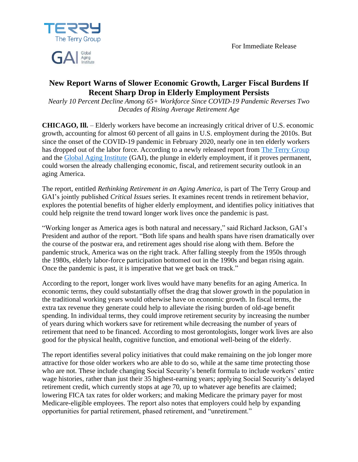For Immediate Release



# Aging

## **New Report Warns of Slower Economic Growth, Larger Fiscal Burdens If Recent Sharp Drop in Elderly Employment Persists**

*Nearly 10 Percent Decline Among 65+ Workforce Since COVID-19 Pandemic Reverses Two Decades of Rising Average Retirement Age*

**CHICAGO, Ill.** – Elderly workers have become an increasingly critical driver of U.S. economic growth, accounting for almost 60 percent of all gains in U.S. employment during the 2010s. But since the onset of the COVID-19 pandemic in February 2020, nearly one in ten elderly workers has dropped out of the labor force. According to a newly released report from [The Terry Group](http://terrygroup.com/) and the [Global Aging Institute](http://globalaginginstitute.com/) (GAI), the plunge in elderly employment, if it proves permanent, could worsen the already challenging economic, fiscal, and retirement security outlook in an aging America.

The report, entitled *Rethinking Retirement in an Aging America*, is part of The Terry Group and GAI's jointly published *Critical Issues* series. It examines recent trends in retirement behavior, explores the potential benefits of higher elderly employment, and identifies policy initiatives that could help reignite the trend toward longer work lives once the pandemic is past.

"Working longer as America ages is both natural and necessary," said Richard Jackson, GAI's President and author of the report. "Both life spans and health spans have risen dramatically over the course of the postwar era, and retirement ages should rise along with them. Before the pandemic struck, America was on the right track. After falling steeply from the 1950s through the 1980s, elderly labor-force participation bottomed out in the 1990s and began rising again. Once the pandemic is past, it is imperative that we get back on track."

According to the report, longer work lives would have many benefits for an aging America. In economic terms, they could substantially offset the drag that slower growth in the population in the traditional working years would otherwise have on economic growth. In fiscal terms, the extra tax revenue they generate could help to alleviate the rising burden of old-age benefit spending. In individual terms, they could improve retirement security by increasing the number of years during which workers save for retirement while decreasing the number of years of retirement that need to be financed. According to most gerontologists, longer work lives are also good for the physical health, cognitive function, and emotional well-being of the elderly.

The report identifies several policy initiatives that could make remaining on the job longer more attractive for those older workers who are able to do so, while at the same time protecting those who are not. These include changing Social Security's benefit formula to include workers' entire wage histories, rather than just their 35 highest-earning years; applying Social Security's delayed retirement credit, which currently stops at age 70, up to whatever age benefits are claimed; lowering FICA tax rates for older workers; and making Medicare the primary payer for most Medicare-eligible employees. The report also notes that employers could help by expanding opportunities for partial retirement, phased retirement, and "unretirement."